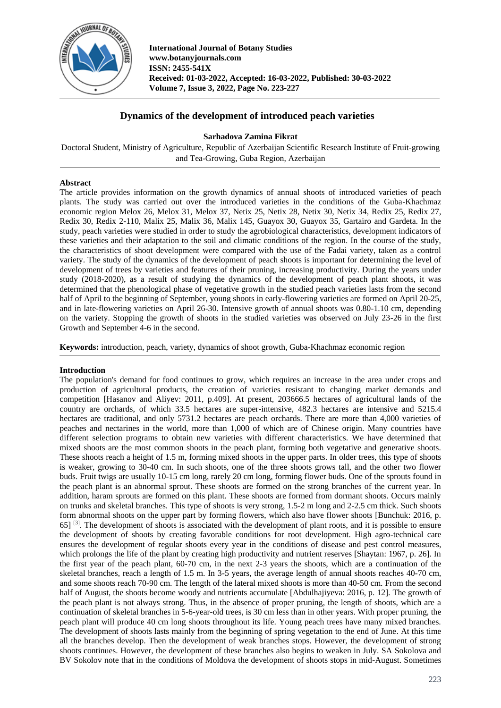

**International Journal of Botany Studies www.botanyjournals.com ISSN: 2455-541X Received: 01-03-2022, Accepted: 16-03-2022, Published: 30-03-2022 Volume 7, Issue 3, 2022, Page No. 223-227**

# **Dynamics of the development of introduced peach varieties**

**Sarhadova Zamina Fikrat**

Doctoral Student, Ministry of Agriculture, Republic of Azerbaijan Scientific Research Institute of Fruit-growing and Tea-Growing, Guba Region, Azerbaijan

# **Abstract**

The article provides information on the growth dynamics of annual shoots of introduced varieties of peach plants. The study was carried out over the introduced varieties in the conditions of the Guba-Khachmaz economic region Melox 26, Melox 31, Melox 37, Netix 25, Netix 28, Netix 30, Netix 34, Redix 25, Redix 27, Redix 30, Redix 2-110, Malix 25, Malix 36, Malix 145, Guayox 30, Guayox 35, Gartairo and Gardeta. In the study, peach varieties were studied in order to study the agrobiological characteristics, development indicators of these varieties and their adaptation to the soil and climatic conditions of the region. In the course of the study, the characteristics of shoot development were compared with the use of the Fadai variety, taken as a control variety. The study of the dynamics of the development of peach shoots is important for determining the level of development of trees by varieties and features of their pruning, increasing productivity. During the years under study (2018-2020), as a result of studying the dynamics of the development of peach plant shoots, it was determined that the phenological phase of vegetative growth in the studied peach varieties lasts from the second half of April to the beginning of September, young shoots in early-flowering varieties are formed on April 20-25, and in late-flowering varieties on April 26-30. Intensive growth of annual shoots was 0.80-1.10 cm, depending on the variety. Stopping the growth of shoots in the studied varieties was observed on July 23-26 in the first Growth and September 4-6 in the second.

**Keywords:** introduction, peach, variety, dynamics of shoot growth, Guba-Khachmaz economic region

## **Introduction**

The population's demand for food continues to grow, which requires an increase in the area under crops and production of agricultural products, the creation of varieties resistant to changing market demands and competition [Hasanov and Aliyev: 2011, p.409]. At present, 203666.5 hectares of agricultural lands of the country are orchards, of which 33.5 hectares are super-intensive, 482.3 hectares are intensive and 5215.4 hectares are traditional, and only 5731.2 hectares are peach orchards. There are more than 4,000 varieties of peaches and nectarines in the world, more than 1,000 of which are of Chinese origin. Many countries have different selection programs to obtain new varieties with different characteristics. We have determined that mixed shoots are the most common shoots in the peach plant, forming both vegetative and generative shoots. These shoots reach a height of 1.5 m, forming mixed shoots in the upper parts. In older trees, this type of shoots is weaker, growing to 30-40 cm. In such shoots, one of the three shoots grows tall, and the other two flower buds. Fruit twigs are usually 10-15 cm long, rarely 20 cm long, forming flower buds. One of the sprouts found in the peach plant is an abnormal sprout. These shoots are formed on the strong branches of the current year. In addition, haram sprouts are formed on this plant. These shoots are formed from dormant shoots. Occurs mainly on trunks and skeletal branches. This type of shoots is very strong, 1.5-2 m long and 2-2.5 cm thick. Such shoots form abnormal shoots on the upper part by forming flowers, which also have flower shoots [Bunchuk: 2016, p. 65] [3] . The development of shoots is associated with the development of plant roots, and it is possible to ensure the development of shoots by creating favorable conditions for root development. High agro-technical care ensures the development of regular shoots every year in the conditions of disease and pest control measures, which prolongs the life of the plant by creating high productivity and nutrient reserves [Shaytan: 1967, p. 26]. In the first year of the peach plant, 60-70 cm, in the next 2-3 years the shoots, which are a continuation of the skeletal branches, reach a length of 1.5 m. In 3-5 years, the average length of annual shoots reaches 40-70 cm, and some shoots reach 70-90 cm. The length of the lateral mixed shoots is more than 40-50 cm. From the second half of August, the shoots become woody and nutrients accumulate [Abdulhajiyeva: 2016, p. 12]. The growth of the peach plant is not always strong. Thus, in the absence of proper pruning, the length of shoots, which are a continuation of skeletal branches in 5-6-year-old trees, is 30 cm less than in other years. With proper pruning, the peach plant will produce 40 cm long shoots throughout its life. Young peach trees have many mixed branches. The development of shoots lasts mainly from the beginning of spring vegetation to the end of June. At this time all the branches develop. Then the development of weak branches stops. However, the development of strong shoots continues. However, the development of these branches also begins to weaken in July. SA Sokolova and BV Sokolov note that in the conditions of Moldova the development of shoots stops in mid-August. Sometimes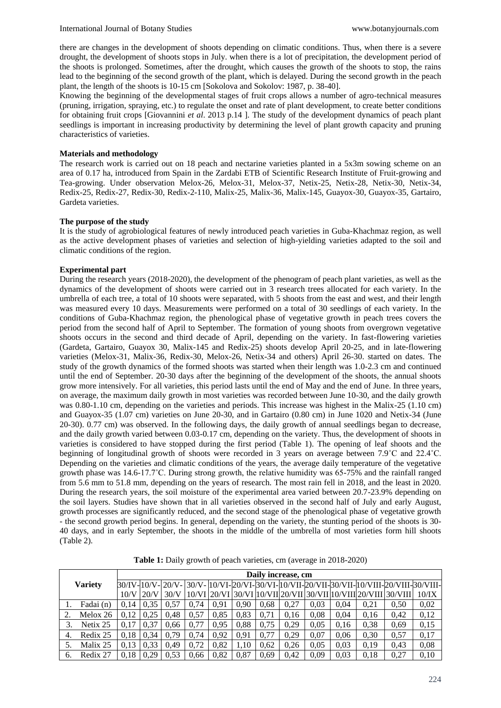there are changes in the development of shoots depending on climatic conditions. Thus, when there is a severe drought, the development of shoots stops in July. when there is a lot of precipitation, the development period of the shoots is prolonged. Sometimes, after the drought, which causes the growth of the shoots to stop, the rains lead to the beginning of the second growth of the plant, which is delayed. During the second growth in the peach plant, the length of the shoots is 10-15 cm [Sokolova and Sokolov: 1987, p. 38-40].

Knowing the beginning of the developmental stages of fruit crops allows a number of agro-technical measures (pruning, irrigation, spraying, etc.) to regulate the onset and rate of plant development, to create better conditions for obtaining fruit crops [Giovannini *et al*. 2013 p.14 ]. The study of the development dynamics of peach plant seedlings is important in increasing productivity by determining the level of plant growth capacity and pruning characteristics of varieties.

### **Materials and methodology**

The research work is carried out on 18 peach and nectarine varieties planted in a 5x3m sowing scheme on an area of 0.17 ha, introduced from Spain in the Zardabi ETB of Scientific Research Institute of Fruit-growing and Tea-growing. Under observation Melox-26, Melox-31, Melox-37, Netix-25, Netix-28, Netix-30, Netix-34, Redix-25, Redix-27, Redix-30, Redix-2-110, Malix-25, Malix-36, Malix-145, Guayox-30, Guayox-35, Gartairo, Gardeta varieties.

#### **The purpose of the study**

It is the study of agrobiological features of newly introduced peach varieties in Guba-Khachmaz region, as well as the active development phases of varieties and selection of high-yielding varieties adapted to the soil and climatic conditions of the region.

#### **Experimental part**

During the research years (2018-2020), the development of the phenogram of peach plant varieties, as well as the dynamics of the development of shoots were carried out in 3 research trees allocated for each variety. In the umbrella of each tree, a total of 10 shoots were separated, with 5 shoots from the east and west, and their length was measured every 10 days. Measurements were performed on a total of 30 seedlings of each variety. In the conditions of Guba-Khachmaz region, the phenological phase of vegetative growth in peach trees covers the period from the second half of April to September. The formation of young shoots from overgrown vegetative shoots occurs in the second and third decade of April, depending on the variety. In fast-flowering varieties (Gardeta, Gartairo, Guayox 30, Malix-145 and Redix-25) shoots develop April 20-25, and in late-flowering varieties (Melox-31, Malix-36, Redix-30, Melox-26, Netix-34 and others) April 26-30. started on dates. The study of the growth dynamics of the formed shoots was started when their length was 1.0-2.3 cm and continued until the end of September. 20-30 days after the beginning of the development of the shoots, the annual shoots grow more intensively. For all varieties, this period lasts until the end of May and the end of June. In three years, on average, the maximum daily growth in most varieties was recorded between June 10-30, and the daily growth was 0.80-1.10 cm, depending on the varieties and periods. This increase was highest in the Malix-25 (1.10 cm) and Guayox-35 (1.07 cm) varieties on June 20-30, and in Gartairo (0.80 cm) in June 1020 and Netix-34 (June 20-30). 0.77 cm) was observed. In the following days, the daily growth of annual seedlings began to decrease, and the daily growth varied between 0.03-0.17 cm, depending on the variety. Thus, the development of shoots in varieties is considered to have stopped during the first period (Table 1). The opening of leaf shoots and the beginning of longitudinal growth of shoots were recorded in 3 years on average between 7.9˚C and 22.4˚C. Depending on the varieties and climatic conditions of the years, the average daily temperature of the vegetative growth phase was 14.6-17.7˚C. During strong growth, the relative humidity was 65-75% and the rainfall ranged from 5.6 mm to 51.8 mm, depending on the years of research. The most rain fell in 2018, and the least in 2020. During the research years, the soil moisture of the experimental area varied between 20.7-23.9% depending on the soil layers. Studies have shown that in all varieties observed in the second half of July and early August, growth processes are significantly reduced, and the second stage of the phenological phase of vegetative growth - the second growth period begins. In general, depending on the variety, the stunting period of the shoots is 30- 40 days, and in early September, the shoots in the middle of the umbrella of most varieties form hill shoots (Table 2).

| <b>Variety</b> |           |      | Daily increase, cm |      |       |      |      |      |      |      |      |      |                                                                                                     |       |  |  |  |
|----------------|-----------|------|--------------------|------|-------|------|------|------|------|------|------|------|-----------------------------------------------------------------------------------------------------|-------|--|--|--|
|                |           |      |                    |      |       |      |      |      |      |      |      |      | 30/IV-H0/V-H20/V-H30/V-H0/VI-H20/VI-H30/VI-H0/VII-H20/VII-H0/VIII-H0/VIII-H20/VIII-B0/VIII-H0/VIII- |       |  |  |  |
|                |           | 10/V | 20/N               | 30/N | 10/VI |      |      |      |      |      |      |      | 30/VI  10/VII  20/VII   30/VII   10/VIII  20/VIII   30/VIII                                         | 10/IX |  |  |  |
|                | Fadai (n) | 0.14 | 0.35               | 0.57 | 0.74  | 0.91 | 0.90 | 0.68 | 0.27 | 0.03 | 0.04 | 0,21 | 0.50                                                                                                | 0,02  |  |  |  |
|                | Melox 26  | 0.12 | 0.25               | 0.48 | 0,57  | 0.85 | 0.83 | 0.71 | 0.16 | 0.08 | 0.04 | 0.16 | 0.42                                                                                                | 0,12  |  |  |  |
|                | Netix 25  | 0.17 | 0,37               | 0.66 | 0.77  | 0.95 | 0.88 | 0.75 | 0.29 | 0.05 | 0.16 | 0.38 | 0.69                                                                                                | 0,15  |  |  |  |
| 4.             | Redix 25  | 0.18 | 0.34               | 0.79 | 0.74  | 0.92 | 0.91 | 0.77 | 0.29 | 0.07 | 0.06 | 0.30 | 0.57                                                                                                | 0,17  |  |  |  |
|                | Malix 25  | 0.13 | 0.33               | 0.49 | 0,72  | 0.82 | 1.10 | 0.62 | 0.26 | 0.05 | 0.03 | 0.19 | 0.43                                                                                                | 0,08  |  |  |  |
| 6.             | Redix 27  | 0.18 | 0.29               | 0.53 | 0.66  | 0,82 | 0.87 | 0.69 | 0.42 | 0.09 | 0.03 | 0.18 | 0.27                                                                                                | 0.10  |  |  |  |

**Table 1:** Daily growth of peach varieties, cm (average in 2018-2020)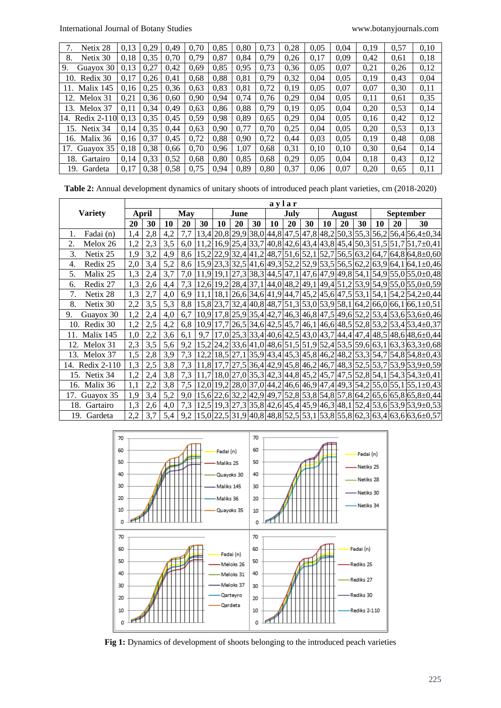| Netix 28           | 0.13 | 0,29 | 0.49 | 0.70 | 0.85 | 0,80 | 0,73 | 0,28 | 0,05 | 0.04 | 0,19 | 0,57 | 0,10 |
|--------------------|------|------|------|------|------|------|------|------|------|------|------|------|------|
| Netix 30<br>8.     | 0.18 | 0,35 | 0.70 | 0.79 | 0.87 | 0,84 | 0.79 | 0,26 | 0.17 | 0.09 | 0,42 | 0.61 | 0,18 |
| Guayox 30<br>9.    | 0,13 | 0,27 | 0,42 | 0,69 | 0,85 | 0,95 | 0.73 | 0.36 | 0,05 | 0,07 | 0,21 | 0,26 | 0,12 |
| Redix 30<br>10.    | 0.17 | 0,26 | 0.41 | 0.68 | 0,88 | 0,81 | 0,79 | 0,32 | 0.04 | 0,05 | 0.19 | 0.43 | 0,04 |
| Malix 145<br>11.   | 0.16 | 0,25 | 0,36 | 0.63 | 0.83 | 0,81 | 0,72 | 0.19 | 0.05 | 0.07 | 0.07 | 0.30 | 0,11 |
| Melox 31<br>12.    | 0.21 | 0.36 | 0.60 | 0.90 | 0.94 | 0.74 | 0.76 | 0.29 | 0.04 | 0.05 | 0,11 | 0.61 | 0,35 |
| 13. Melox 37       | 0,11 | 0,34 | 0.49 | 0.63 | 0,86 | 0,88 | 0,79 | 0,19 | 0.05 | 0.04 | 0,20 | 0.53 | 0,14 |
| Redix 2-110<br>14. | 0.13 | 0,35 | 0.45 | 0,59 | 0.98 | 0.89 | 0.65 | 0,29 | 0,04 | 0.05 | 0,16 | 0,42 | 0,12 |
| 15. Netix 34       | 0.14 | 0.35 | 0.44 | 0,63 | 0.90 | 0.77 | 0,70 | 0,25 | 0.04 | 0.05 | 0,20 | 0,53 | 0,13 |
| 16. Malix 36       | 0.16 | 0,37 | 0,45 | 0,72 | 0,88 | 0,90 | 0,72 | 0,44 | 0,03 | 0,05 | 0,19 | 0,48 | 0,08 |
| Guayox 35<br>17.   | 0.18 | 0,38 | 0.66 | 0.70 | 0,96 | 1.07 | 0.68 | 0,31 | 0.10 | 0.10 | 0,30 | 0.64 | 0,14 |
| Gartairo<br>18.    | 0.14 | 0,33 | 0,52 | 0.68 | 0.80 | 0,85 | 0.68 | 0,29 | 0.05 | 0,04 | 0.18 | 0.43 | 0,12 |
| 19.<br>Gardeta     | 0.17 | 0,38 | 0.58 | 0.75 | 0.94 | 0.89 | 0.80 | 0.37 | 0.06 | 0.07 | 0.20 | 0.65 | 0,11 |

**Table 2:** Annual development dynamics of unitary shoots of introduced peach plant varieties, cm (2018-2020)

|                  | aylar |     |     |                  |      |    |    |      |    |    |               |    |    |                  |    |    |                                                                                                       |
|------------------|-------|-----|-----|------------------|------|----|----|------|----|----|---------------|----|----|------------------|----|----|-------------------------------------------------------------------------------------------------------|
| <b>Variety</b>   | April |     | May |                  | June |    |    | July |    |    | <b>August</b> |    |    | <b>September</b> |    |    |                                                                                                       |
|                  | 20    | 30  | 10  | 20               | 30   | 10 | 20 | 30   | 10 | 20 | 30            | 10 | 20 | 30               | 10 | 20 | 30                                                                                                    |
| Fadai (n)<br>1.  | 1,4   | 2,8 | 4,2 | 7,7              |      |    |    |      |    |    |               |    |    |                  |    |    | $13,4 20,8 29,9 38,0 44,8 47,5 47,8 48,2 50,3 55,3 56,2 56,4 56,4\pm0,34$                             |
| 2.<br>Melox 26   | 1,2   | 2,3 | 3,5 | 6.0 <sub>1</sub> |      |    |    |      |    |    |               |    |    |                  |    |    | $11,2 16,9 25,4 33,7 40,8 42,6 43,4 43,8 45,4 50,3 51,5 51,7 51,7\pm0,41$                             |
| 3.<br>Netix 25   | 1,9   | 3,2 | 4,9 | 8,6              |      |    |    |      |    |    |               |    |    |                  |    |    | 15,2 22,9 32,4 41,2 48,7 51,6 52,1 52,7 56,5 63,2 64,7 64,8 64,8±0,60                                 |
| Redix 25<br>4.   | 2,0   | 3,4 | 5,2 | 8,6              |      |    |    |      |    |    |               |    |    |                  |    |    | 15,9 23,3 32,5 41,6 49,3 52,2 52,9 53,5 56,5 62,2 63,9 64,1 64,1 ± 0,46                               |
| 5.<br>Malix 25   | 1,3   | 2,4 | 3,7 | 7,0              |      |    |    |      |    |    |               |    |    |                  |    |    | $11,9 19,1 27,3 38,3 44,5 47,1 47,6 47,9 49,8 54,1 54,9 55,0 55,0\pm0,48$                             |
| Redix 27<br>6.   | 1,3   | 2,6 | 4,4 |                  |      |    |    |      |    |    |               |    |    |                  |    |    | 7,3   12,6   19,2   28,4   37,1   44,0   48,2   49,1   49,4   51,2   53,9   54,9   55,0   55,0 ± 0,59 |
| 7.<br>Netix 28   | 1,3   | 2,7 | 4,0 |                  |      |    |    |      |    |    |               |    |    |                  |    |    | 6,9   11,1   18,1   26,6   34,6   41,9   44,7   45,2   45,6   47,5   53,1   54,1   54,2   54,2 ± 0,44 |
| 8.<br>Netix 30   | 2,2   | 3,5 | 5,3 |                  |      |    |    |      |    |    |               |    |    |                  |    |    | 8,8   15,8   23,7   32,4   40,8   48,7   51,3   53,0   53,9   58,1   64,2   66,0   66,1   66,1 ± 0,51 |
| 9.<br>Guayox 30  | 1,2   | 2,4 | 4,0 |                  |      |    |    |      |    |    |               |    |    |                  |    |    | 6,7   10,9   17,8   25,9   35,4   42,7   46,3   46,8   47,5   49,6   52,2   53,4   53,6   53,6 ± 0,46 |
| 10. Redix 30     | 1,2   | 2,5 | 4,2 | 6,8              |      |    |    |      |    |    |               |    |    |                  |    |    | $10,9 17,7 26,5 34,6 42,5 45,7 46,1 46,6 48,5 52,8 53,2 53,4 53,4\pm0,37 $                            |
| Malix 145<br>11. | 1,0   | 2,2 | 3,6 | 6,1              |      |    |    |      |    |    |               |    |    |                  |    |    | 9,7  17,0   25,3   33,4   40,6   42,5   43,0   43,7   44,4   47,4   48,5   48,6   48,6 ± 0,44         |
| 12. Melox 31     | 2,3   | 3,5 | 5,6 | 9,2              |      |    |    |      |    |    |               |    |    |                  |    |    | 15,2 24,2 33,6 41,0 48,6 51,5 51,9 52,4 53,5 59,6 63,1 63,3 63,3 ± 0,68                               |
| 13. Melox 37     | 1,5   | 2,8 | 3,9 |                  |      |    |    |      |    |    |               |    |    |                  |    |    | 7,3  12,2  18,5   27,1   35,9   43,4   45,3   45,8   46,2   48,2   53,3   54,7   54,8   54,8 ± 0,43   |
| 14. Redix 2-110  | 1,3   | 2,5 | 3,8 | 7,3              |      |    |    |      |    |    |               |    |    |                  |    |    | $11,8 17,7 27,5 36,4 42,9 45,8 46,2 46,7 48,3 52,5 53,7 53,9 53,9\pm0,59$                             |
| 15. Netix 34     | 1,2   | 2,4 | 3,8 | 7,3              |      |    |    |      |    |    |               |    |    |                  |    |    | $11,7 18,0 27,0 35,3 42,3 44,8 45,2 45,7 47,5 52,8 54,1 54,3 54,3\pm0,41$                             |
| 16. Malix 36     | 1,1   | 2,2 | 3,8 |                  |      |    |    |      |    |    |               |    |    |                  |    |    | 7,5   12,0   19,2   28,0   37,0   44,2   46,6   46,9   47,4   49,3   54,2   55,0   55,1   55,1 ± 0,43 |
| 17.<br>Guayox 35 | 1,9   | 3,4 | 5,2 | 9,0              |      |    |    |      |    |    |               |    |    |                  |    |    | 15,6 22,6 32,2 42,9 49,7 52,8 53,8 54,8 57,8 64,2 65,6 65,8 65,8±0,44                                 |
| 18. Gartairo     | 1,3   | 2,6 | 4,0 |                  |      |    |    |      |    |    |               |    |    |                  |    |    | 7,3   12,5   19,3   27,3   35,8   42,6   45,4   45,9   46,3   48,1   52,4   53,6   53,9   53,9 ± 0,53 |
| 19. Gardeta      | 2,2   | 3,7 | 5,4 | 9,2              |      |    |    |      |    |    |               |    |    |                  |    |    | 15,0 22,5 31,9 40,8 48,8 52,5 53,1 53,8 55,8 62,3 63,4 63,6 63,6 ± 0,57                               |



**Fig 1:** Dynamics of development of shoots belonging to the introduced peach varieties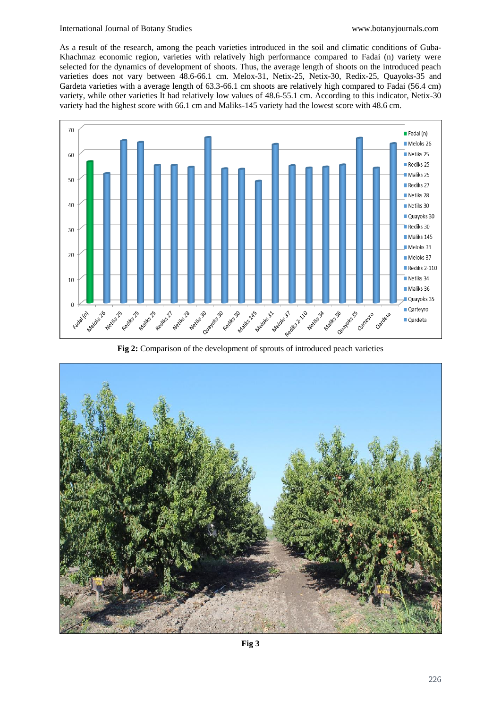#### International Journal of Botany Studies [www.botanyjournals.com](http://www.botanyjournals.com/)

As a result of the research, among the peach varieties introduced in the soil and climatic conditions of Guba-Khachmaz economic region, varieties with relatively high performance compared to Fadai (n) variety were selected for the dynamics of development of shoots. Thus, the average length of shoots on the introduced peach varieties does not vary between 48.6-66.1 cm. Melox-31, Netix-25, Netix-30, Redix-25, Quayoks-35 and Gardeta varieties with a average length of 63.3-66.1 cm shoots are relatively high compared to Fadai (56.4 cm) variety, while other varieties It had relatively low values of 48.6-55.1 cm. According to this indicator, Netix-30 variety had the highest score with 66.1 cm and Maliks-145 variety had the lowest score with 48.6 cm.



**Fig 2:** Comparison of the development of sprouts of introduced peach varieties